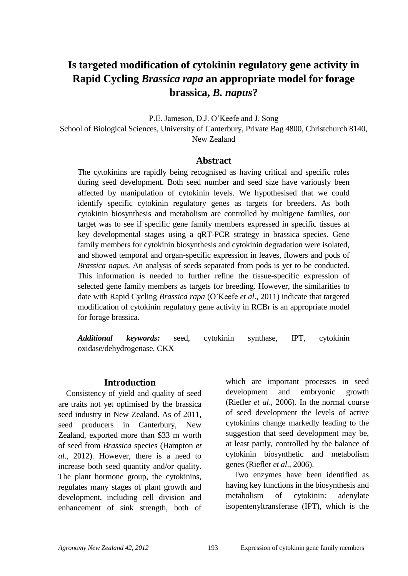# **Is targeted modification of cytokinin regulatory gene activity in Rapid Cycling** *Brassica rapa* **an appropriate model for forage brassica,** *B. napus***?**

P.E. Jameson, D.J. O"Keefe and J. Song School of Biological Sciences, University of Canterbury, Private Bag 4800, Christchurch 8140, New Zealand

#### **Abstract**

The cytokinins are rapidly being recognised as having critical and specific roles during seed development. Both seed number and seed size have variously been affected by manipulation of cytokinin levels. We hypothesised that we could identify specific cytokinin regulatory genes as targets for breeders. As both cytokinin biosynthesis and metabolism are controlled by multigene families, our target was to see if specific gene family members expressed in specific tissues at key developmental stages using a qRT-PCR strategy in brassica species. Gene family members for cytokinin biosynthesis and cytokinin degradation were isolated, and showed temporal and organ-specific expression in leaves, flowers and pods of *Brassica napus*. An analysis of seeds separated from pods is yet to be conducted. This information is needed to further refine the tissue-specific expression of selected gene family members as targets for breeding. However, the similarities to date with Rapid Cycling *Brassica rapa* (O"Keefe *et al*., 2011) indicate that targeted modification of cytokinin regulatory gene activity in RCBr is an appropriate model for forage brassica.

*Additional keywords:* seed, cytokinin synthase, IPT, cytokinin oxidase/dehydrogenase, CKX

#### **Introduction**

Consistency of yield and quality of seed are traits not yet optimised by the brassica seed industry in New Zealand. As of 2011, seed producers in Canterbury, New Zealand, exported more than \$33 m worth of seed from *Brassica* species (Hampton *et al*., 2012). However, there is a need to increase both seed quantity and/or quality. The plant hormone group, the cytokinins, regulates many stages of plant growth and development, including cell division and enhancement of sink strength, both of which are important processes in seed development and embryonic growth (Riefler *et al*., 2006). In the normal course of seed development the levels of active cytokinins change markedly leading to the suggestion that seed development may be, at least partly, controlled by the balance of cytokinin biosynthetic and metabolism genes (Riefler *et al*., 2006).

Two enzymes have been identified as having key functions in the biosynthesis and metabolism of cytokinin: adenylate isopentenyltransferase (IPT), which is the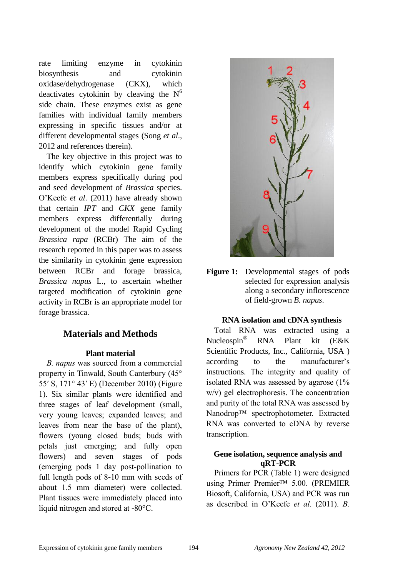rate limiting enzyme in cytokinin biosynthesis and cytokinin oxidase/dehydrogenase (CKX), which deactivates cytokinin by cleaving the  $N^6$ side chain. These enzymes exist as gene families with individual family members expressing in specific tissues and/or at different developmental stages (Song *et al*., 2012 and references therein).

The key objective in this project was to identify which cytokinin gene family members express specifically during pod and seed development of *Brassica* species. O"Keefe *et al*. (2011) have already shown that certain *IPT* and *CKX* gene family members express differentially during development of the model Rapid Cycling *Brassica rapa* (RCBr) The aim of the research reported in this paper was to assess the similarity in cytokinin gene expression between RCBr and forage brassica, *Brassica napus* L., to ascertain whether targeted modification of cytokinin gene activity in RCBr is an appropriate model for forage brassica.

## **Materials and Methods**

#### **Plant material**

*B. napus* was sourced from a commercial property in Tinwald, South Canterbury (45° 55′ S, 171° 43′ E) (December 2010) (Figure 1). Six similar plants were identified and three stages of leaf development (small, very young leaves; expanded leaves; and leaves from near the base of the plant), flowers (young closed buds; buds with petals just emerging; and fully open flowers) and seven stages of pods (emerging pods 1 day post-pollination to full length pods of 8-10 mm with seeds of about 1.5 mm diameter) were collected. Plant tissues were immediately placed into liquid nitrogen and stored at -80°C.



**Figure 1:** Developmental stages of pods selected for expression analysis along a secondary inflorescence of field-grown *B. napus*.

#### **RNA isolation and cDNA synthesis**

Total RNA was extracted using a Nucleospin® RNA Plant kit (E&K Scientific Products, Inc., California, USA ) according to the manufacturer's instructions. The integrity and quality of isolated RNA was assessed by agarose (1% w/v) gel electrophoresis. The concentration and purity of the total RNA was assessed by Nanodrop™ spectrophotometer. Extracted RNA was converted to cDNA by reverse transcription.

## **Gene isolation, sequence analysis and qRT-PCR**

Primers for PCR (Table 1) were designed using Primer Premier™ 5.00. (PREMIER Biosoft, California, USA) and PCR was run as described in O"Keefe *et al*. (2011). *B.*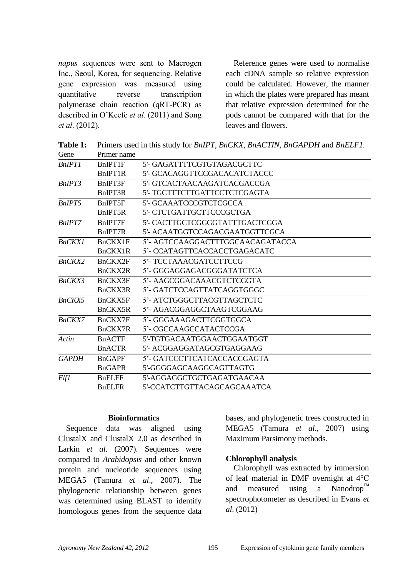*napus* sequences were sent to Macrogen Inc., Seoul, Korea, for sequencing. Relative gene expression was measured using quantitative reverse transcription polymerase chain reaction (qRT-PCR) as described in O"Keefe *et al*. (2011) and Song *et al*. (2012).

Reference genes were used to normalise each cDNA sample so relative expression could be calculated. However, the manner in which the plates were prepared has meant that relative expression determined for the pods cannot be compared with that for the leaves and flowers.

**Table 1:** Primers used in this study for *BnIPT, BnCKX, BnACTIN, BnGAPDH* and *BnELF1.*

| Gene          | Primer name                       |                                  |
|---------------|-----------------------------------|----------------------------------|
| <b>BnIPT1</b> | <b>BnIPT1F</b>                    | 5'- GAGATTTTCGTGTAGACGCTTC       |
|               | BnIPT1R                           | 5'- GCACAGGTTCCGACACATCTACCC     |
| BnIPT3        | BnIPT3F                           | 5'- GTCACTAACAAGATCACGACCGA      |
|               | B <sub>n</sub> IPT <sub>3</sub> R | 5'- TGCTTTCTTGATTCCTCTCGAGTA     |
| BnIPT5        | BnIPT5F                           | 5'- GCAAATCCCGTCTCGCCA           |
|               | B <sub>n</sub> IPT5R              | 5'- CTCTGATTGCTTCCCGCTGA         |
| BnIPT7        | BnIPT7F                           | 5'- CACTTGCTCGGGGTATTTGACTCGGA   |
|               | B <sub>n</sub> IPT <sub>7R</sub>  | 5'- ACAATGGTCCAGACGAATGGTTCGCA   |
| <b>BnCKX1</b> | BnCKX1F                           | 5'- AGTCCAAGGACTTTGGCAACAGATACCA |
|               | BnCKX1R                           | 5'- CCATAGTTCACCACCTGAGACATC     |
| <b>BnCKX2</b> | BnCKX2F                           | 5'- TCCTAAACGATCCTTCCG           |
|               | BnCKX2R                           | 5'- GGGAGGAGACGGGATATCTCA        |
| BnCKX3        | BnCKX3F                           | 5'- AAGCGGACAAACGTCTCGGTA        |
|               | BnCKX3R                           | 5'- GATCTCCAGTTATCAGGTGGGC       |
| <b>BnCKX5</b> | BnCKX5F                           | 5'-ATCTGGGCTTACGTTAGCTCTC        |
|               | BnCKX5R                           | 5'- AGACGGAGGCTAAGTCGGAAG        |
| BnCKX7        | BnCKX7F                           | 5'- GGGAAAGACTTCGGTGGCA          |
|               | BnCKX7R                           | 5'- CGCCAAGCCATACTCCGA           |
| Actin         | <b>BnACTF</b>                     | 5'-TGTGACAATGGAACTGGAATGGT       |
|               | <b>B</b> nACTR                    | 5'- ACGGAGGATAGCGTGAGGAAG        |
| <b>GAPDH</b>  | <b>BnGAPF</b>                     | 5'- GATCCCTTCATCACCACCGAGTA      |
|               | <b>BnGAPR</b>                     | 5'-GGGGAGCAAGGCAGTTAGTG          |
| Elf1          | <b>BnELFF</b>                     | 5'-AGGAGGCTGCTGAGATGAACAA        |
|               | <b>B</b> nELFR                    | 5'-CCATCTTGTTACAGCAGCAAATCA      |

## **Bioinformatics**

Sequence data was aligned using ClustalX and ClustalX 2.0 as described in Larkin *et al*. (2007). Sequences were compared to *Arabidopsis* and other known protein and nucleotide sequences using MEGA5 (Tamura *et al*., 2007). The phylogenetic relationship between genes was determined using BLAST to identify homologous genes from the sequence data

bases, and phylogenetic trees constructed in MEGA5 (Tamura *et al*., 2007) using Maximum Parsimony methods.

#### **Chlorophyll analysis**

Chlorophyll was extracted by immersion of leaf material in DMF overnight at 4°C and measured using a Nanodrop™ spectrophotometer as described in Evans *et al*. (2012)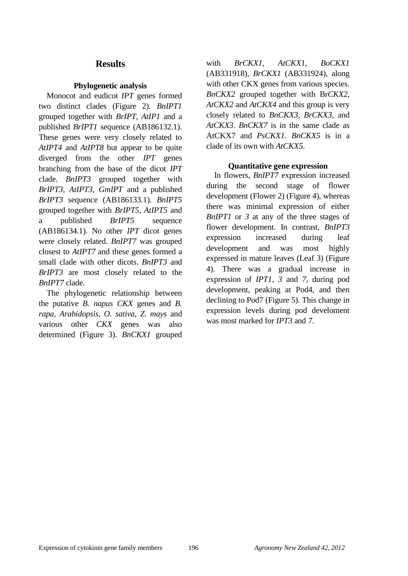## **Results**

## **Phylogenetic analysis**

Monocot and eudicot *IPT* genes formed two distinct clades (Figure 2). *BnIPT1* grouped together with *BrIPT, AtIP1* and a published *BrIPT1* sequence (AB186132.1). These genes were very closely related to *AtIPT4* and *AtIPT8* but appear to be quite diverged from the other *IPT* genes branching from the base of the dicot *IPT* clade. *BnIPT3* grouped together with *BrIPT3, AtIPT3, GmIPT* and a published *BrIPT3* sequence (AB186133.1)*. BnIPT5*  grouped together with *BrIPT5, AtIPT5* and a published *BrIPT5* sequence (AB186134.1). No other *IPT* dicot genes were closely related. *BnIPT7* was grouped closest to *AtIPT7* and these genes formed a small clade with other dicots. *BnIPT3* and *BrIPT3* are most closely related to the *BnIPT7* clade*.*

The phylogenetic relationship between the putative *B. napus CKX* genes and *B. rapa, Arabidopsis, O. sativa, Z. mays* and various other *CKX* genes was also determined (Figure 3). *BnCKX1* grouped

with *BrCKX1, AtCKX1*, *BoCKX1*  (AB331918)*, BrCKX1* (AB331924), along with other CKX genes from various species. *BnCKX2* grouped together with Br*CKX2, AtCKX2* and *AtCKX4* and this group is very closely related to *BnCKX3, BrCKX3,* and *AtCKX3*. *BnCKX7* is in the same clade as AtCKX7 and *PsCKX1*. *BnCKX5* is in a clade of its own with *AtCKX5*.

#### **Quantitative gene expression**

In flowers*, BnIPT7* expression increased during the second stage of flower development (Flower 2) (Figure 4), whereas there was minimal expression of either *BnIPT1* or *3* at any of the three stages of flower development*.* In contrast, *BnIPT3*  expression increased during leaf development and was most highly expressed in mature leaves (Leaf 3) (Figure 4). There was a gradual increase in expression of *IPT1, 3* and *7*, during pod development, peaking at Pod4, and then declining to Pod7 (Figure 5). This change in expression levels during pod develoment was most marked for *IPT3* and *7*.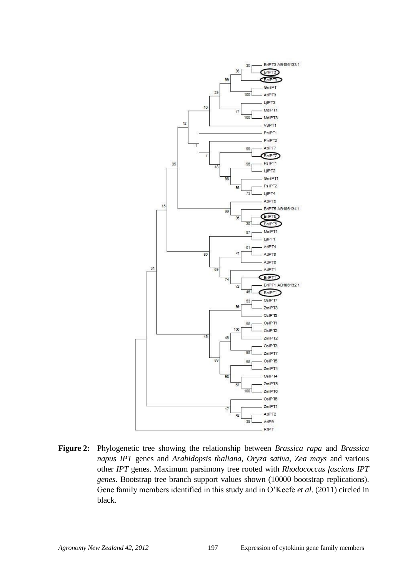

**Figure 2:** Phylogenetic tree showing the relationship between *Brassica rapa* and *Brassica napus IPT* genes and *Arabidopsis thaliana, Oryza sativa, Zea mays* and various other *IPT* genes. Maximum parsimony tree rooted with *Rhodococcus fascians IPT genes*. Bootstrap tree branch support values shown (10000 bootstrap replications). Gene family members identified in this study and in O"Keefe *et al*. (2011) circled in black.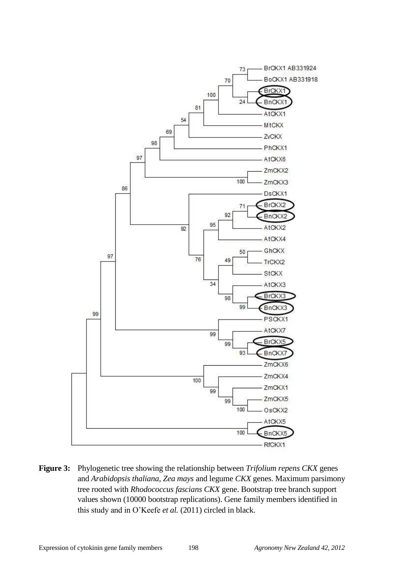

**Figure 3:** Phylogenetic tree showing the relationship between *Trifolium repens CKX* genes and *Arabidopsis thaliana*, *Zea mays* and legume *CKX* genes. Maximum parsimony tree rooted with *Rhodococcus fascians CKX* gene. Bootstrap tree branch support values shown (10000 bootstrap replications). Gene family members identified in this study and in O"Keefe *et al.* (2011) circled in black.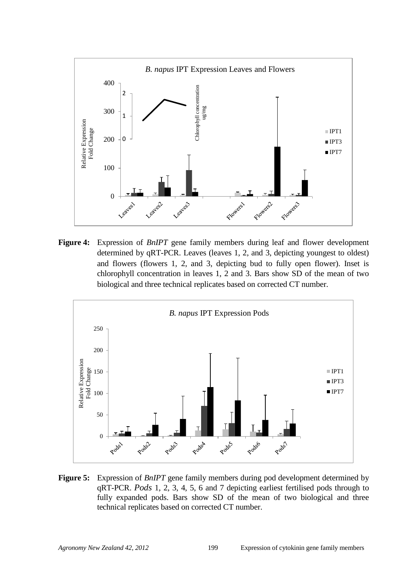

**Figure 4:** Expression of *BnIPT* gene family members during leaf and flower development determined by qRT-PCR. Leaves (leaves 1, 2, and 3, depicting youngest to oldest) and flowers (flowers 1, 2, and 3, depicting bud to fully open flower). Inset is chlorophyll concentration in leaves 1, 2 and 3. Bars show SD of the mean of two biological and three technical replicates based on corrected CT number.



**Figure 5:** Expression of *BnIPT* gene family members during pod development determined by qRT-PCR. *Pods* 1, 2, 3, 4, 5, 6 and 7 depicting earliest fertilised pods through to fully expanded pods. Bars show SD of the mean of two biological and three technical replicates based on corrected CT number.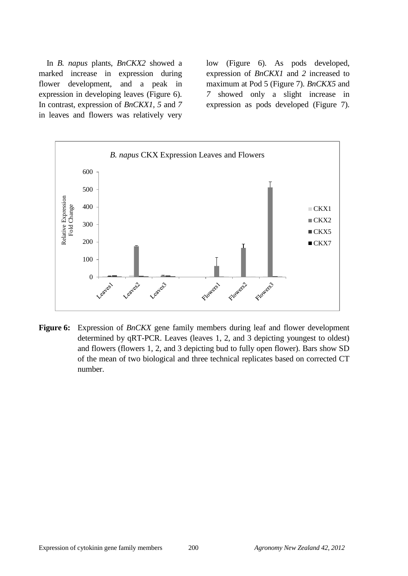In *B. napus* plants, *BnCKX2* showed a marked increase in expression during flower development, and a peak in expression in developing leaves (Figure 6). In contrast, expression of *BnCKX1*, *5* and *7* in leaves and flowers was relatively very

low (Figure 6). As pods developed, expression of *BnCKX1* and *2* increased to maximum at Pod 5 (Figure 7). *BnCKX5* and *7* showed only a slight increase in expression as pods developed (Figure 7).



**Figure 6:** Expression of *BnCKX* gene family members during leaf and flower development determined by qRT-PCR. Leaves (leaves 1, 2, and 3 depicting youngest to oldest) and flowers (flowers 1, 2, and 3 depicting bud to fully open flower). Bars show SD of the mean of two biological and three technical replicates based on corrected CT number.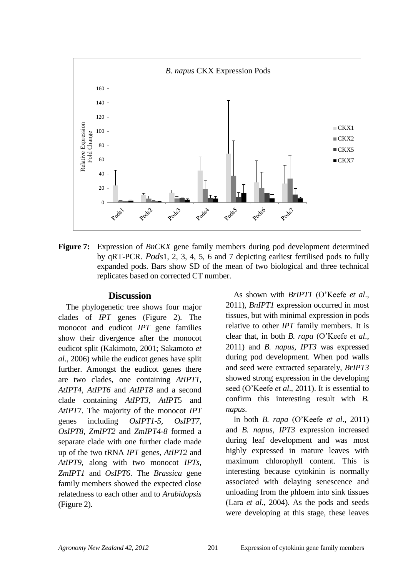

**Figure 7:** Expression of *BnCKX* gene family members during pod development determined by qRT-PCR. *Pods*1, 2, 3, 4, 5, 6 and 7 depicting earliest fertilised pods to fully expanded pods. Bars show SD of the mean of two biological and three technical replicates based on corrected CT number.

#### **Discussion**

The phylogenetic tree shows four major clades of *IPT* genes (Figure 2). The monocot and eudicot *IPT* gene families show their divergence after the monocot eudicot split (Kakimoto, 2001; Sakamoto *et al*., 2006) while the eudicot genes have split further. Amongst the eudicot genes there are two clades, one containing *AtIPT1, AtIPT4, AtIPT6* and *AtIPT8* and a second clade containing *AtIPT3*, *AtIPT*5 and *AtIPT*7. The majority of the monocot *IPT*  genes including *OsIPT1-5, OsIPT7*, *OsIPT8*, *ZmIPT2* and *ZmIPT4-8* formed a separate clade with one further clade made up of the two tRNA *IPT* genes, *AtIPT2* and *AtIPT9,* along with two monocot *IPTs*, *ZmIPT1* and *OsIPT6*. The *Brassica* gene family members showed the expected close relatedness to each other and to *Arabidopsis* (Figure 2)*.*

As shown with *BrIPT1* (O"Keefe *et al*., 2011), *BnIPT1* expression occurred in most tissues, but with minimal expression in pods relative to other *IPT* family members. It is clear that, in both *B. rapa* (O"Keefe *et al*., 2011) and *B. napus, IPT3* was expressed during pod development. When pod walls and seed were extracted separately, *BrIPT3* showed strong expression in the developing seed (O"Keefe *et al*., 2011). It is essential to confirm this interesting result with *B. napus*.

In both *B. rapa* (O"Keefe *et al*., 2011) and *B. napus, IPT3* expression increased during leaf development and was most highly expressed in mature leaves with maximum chlorophyll content. This is interesting because cytokinin is normally associated with delaying senescence and unloading from the phloem into sink tissues (Lara *et al*., 2004). As the pods and seeds were developing at this stage, these leaves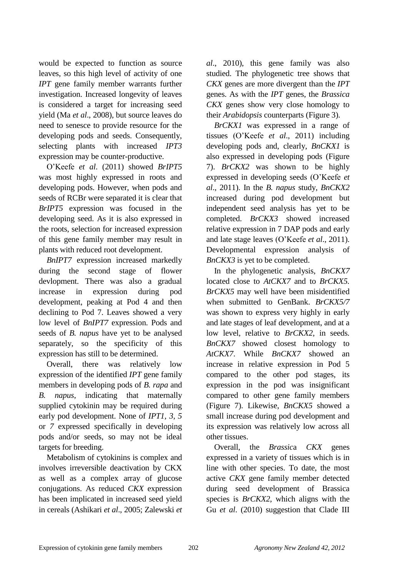would be expected to function as source leaves, so this high level of activity of one *IPT* gene family member warrants further investigation. Increased longevity of leaves is considered a target for increasing seed yield (Ma *et al*., 2008), but source leaves do need to senesce to provide resource for the developing pods and seeds. Consequently, selecting plants with increased *IPT3* expression may be counter-productive.

O"Keefe *et al*. (2011) showed *BrIPT5*  was most highly expressed in roots and developing pods. However, when pods and seeds of RCBr were separated it is clear that *BrIPT5* expression was focused in the developing seed. As it is also expressed in the roots, selection for increased expression of this gene family member may result in plants with reduced root development.

*BnIPT7* expression increased markedly during the second stage of flower devlopment. There was also a gradual increase in expression during pod development, peaking at Pod 4 and then declining to Pod 7. Leaves showed a very low level of *BnIPT7* expression. Pods and seeds of *B. napus* have yet to be analysed separately, so the specificity of this expression has still to be determined.

Overall, there was relatively low expression of the identified *IPT* gene family members in developing pods of *B. rapa* and *B. napus*, indicating that maternally supplied cytokinin may be required during early pod development. None of *IPT1, 3, 5* or *7* expressed specifically in developing pods and/or seeds, so may not be ideal targets for breeding.

Metabolism of cytokinins is complex and involves irreversible deactivation by CKX as well as a complex array of glucose conjugations. As reduced *CKX* expression has been implicated in increased seed yield in cereals (Ashikari *et al*., 2005; Zalewski *et*  *al*., 2010), this gene family was also studied. The phylogenetic tree shows that *CKX* genes are more divergent than the *IPT* genes. As with the *IPT* genes, the *Brassica CKX* genes show very close homology to their *Arabidopsis* counterparts (Figure 3).

*BrCKX1* was expressed in a range of tissues (O"Keefe *et al*., 2011) including developing pods and, clearly, *BnCKX1* is also expressed in developing pods (Figure 7). *BrCKX2* was shown to be highly expressed in developing seeds (O"Keefe *et al*., 2011). In the *B. napus* study, *BnCKX2* increased during pod development but independent seed analysis has yet to be completed. *BrCKX3* showed increased relative expression in 7 DAP pods and early and late stage leaves (O"Keefe *et al*., 2011). Developmental expression analysis of *BnCKX3* is yet to be completed.

In the phylogenetic analysis, *BnCKX7* located close to *AtCKX7* and to *BrCKX5. BrCKX5* may well have been misidentified when submitted to GenBank. *BrCKX5/7*  was shown to express very highly in early and late stages of leaf development, and at a low level, relative to *BrCKX2*, in seeds*. BnCKX7* showed closest homology to *AtCKX7*. While *BnCKX7* showed an increase in relative expression in Pod 5 compared to the other pod stages, its expression in the pod was insignificant compared to other gene family members (Figure 7). Likewise, *BnCKX5* showed a small increase during pod development and its expression was relatively low across all other tissues.

Overall, the *Brassic*a *CKX* genes expressed in a variety of tissues which is in line with other species. To date, the most active *CKX* gene family member detected during seed development of Brassica species is *BrCKX2*, which aligns with the Gu *et al*. (2010) suggestion that Clade III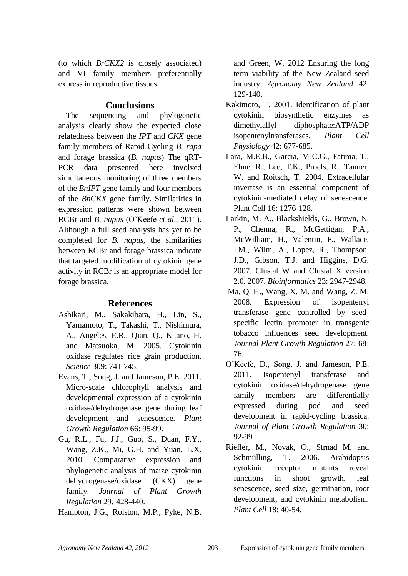(to which *BrCKX2* is closely associated) and VI family members preferentially express in reproductive tissues.

## **Conclusions**

The sequencing and phylogenetic analysis clearly show the expected close relatedness between the *IPT* and *CKX* gene family members of Rapid Cycling *B. rapa* and forage brassica (*B. napus*) The qRT-PCR data presented here involved simultaneous monitoring of three members of the *BnIPT* gene family and four members of the *BnCKX* gene family. Similarities in expression patterns were shown between RCBr and *B. napus* (O"Keefe *et al*., 2011). Although a full seed analysis has yet to be completed for *B. napus,* the similarities between RCBr and forage brassica indicate that targeted modification of cytokinin gene activity in RCBr is an appropriate model for forage brassica.

# **References**

- Ashikari, M., Sakakibara, H., Lin, S., Yamamoto, T., Takashi, T., Nishimura, A., Angeles, E.R., Qian, Q., Kitano, H. and Matsuoka, M. 2005. Cytokinin oxidase regulates rice grain production. *Science* 309: 741-745.
- Evans, T., Song, J. and Jameson, P.E. 2011. Micro-scale chlorophyll analysis and developmental expression of a cytokinin oxidase/dehydrogenase gene during leaf development and senescence. *Plant Growth Regulation* 66: 95-99.
- Gu, R.L., Fu, J.J., Guo, S., Duan, F.Y., Wang, Z.K., Mi, G.H. and Yuan, L.X. 2010. Comparative expression and phylogenetic analysis of maize cytokinin dehydrogenase/oxidase (CKX) gene family. *Journal of Plant Growth Regulation* 29*:* 428-440.
- Hampton, J.G., Rolston, M.P., Pyke, N.B.

and Green, W. 2012 Ensuring the long term viability of the New Zealand seed industry. *Agronomy New Zealand* 42: 129-140.

- Kakimoto, T. 2001. Identification of plant cytokinin biosynthetic enzymes as dimethylallyl diphosphate:ATP/ADP isopentenyltransferases. *Plant Cell Physiology* 42: 677-685.
- Lara, M.E.B., Garcia, M-C.G., Fatima, T., Ehne, R., Lee, T.K., Proels, R., Tanner, W. and Roitsch, T. 2004. Extracellular invertase is an essential component of cytokinin-mediated delay of senescence. Plant Cell 16: 1276-128.
- Larkin, M. A., Blackshields, G., Brown, N. P., Chenna, R., McGettigan, P.A., McWilliam, H., Valentin, F., Wallace, I.M., Wilm, A., Lopez, R., Thompson, J.D., Gibson, T.J. and Higgins, D.G. 2007. Clustal W and Clustal X version 2.0. 2007. *Bioinformatics* 23: 2947-2948.
- Ma, Q. H., Wang, X. M. and Wang, Z. M. 2008. Expression of isopentenyl transferase gene controlled by seedspecific lectin promoter in transgenic tobacco influences seed development. *Journal Plant Growth Regulation* 27: 68- 76.
- O"Keefe, D., Song, J. and Jameson, P.E. 2011. Isopentenyl transferase and cytokinin oxidase/dehydrogenase gene family members are differentially expressed during pod and seed development in rapid-cycling brassica. *Journal of Plant Growth Regulation* 30: 92-99
- Riefler, M., Novak, O., Strnad M. and Schmülling, T. 2006. Arabidopsis cytokinin receptor mutants reveal functions in shoot growth, leaf senescence, seed size, germination, root development, and cytokinin metabolism. *Plant Cell* 18: 40-54.